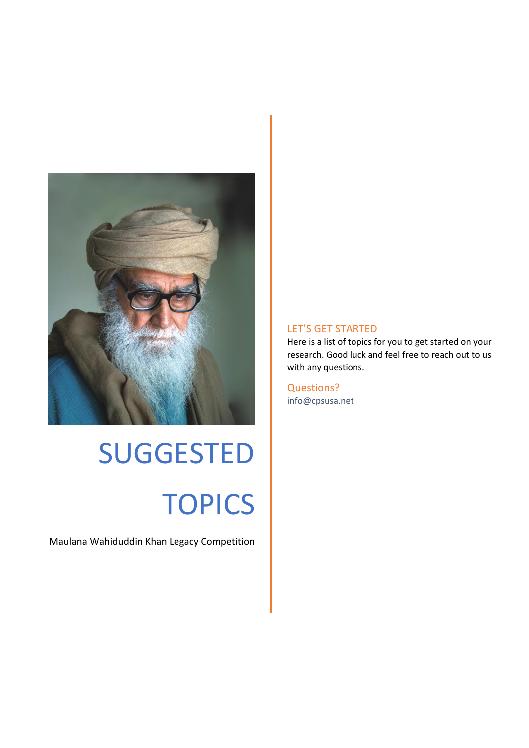

# SUGGESTED **TOPICS**

Maulana Wahiduddin Khan Legacy Competition

#### LET'S GET STARTED

Here is a list of topics for you to get started on your research. Good luck and feel free to reach out to us with any questions.

Questions? info@cpsusa.net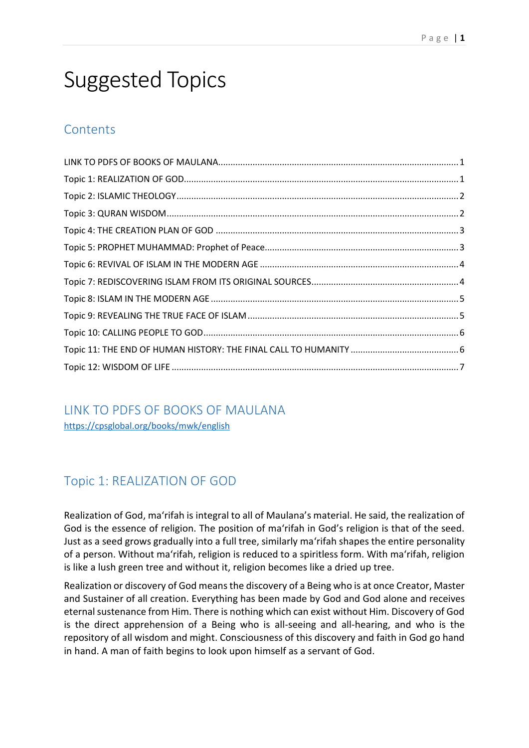# Suggested Topics

# **Contents**

<span id="page-1-0"></span>LINK TO PDFS OF BOOKS OF MAULANA <https://cpsglobal.org/books/mwk/english>

# <span id="page-1-1"></span>Topic 1: REALIZATION OF GOD

Realization of God, ma'rifah is integral to all of Maulana's material. He said, the realization of God is the essence of religion. The position of ma'rifah in God's religion is that of the seed. Just as a seed grows gradually into a full tree, similarly ma'rifah shapes the entire personality of a person. Without ma'rifah, religion is reduced to a spiritless form. With ma'rifah, religion is like a lush green tree and without it, religion becomes like a dried up tree.

Realization or discovery of God means the discovery of a Being who is at once Creator, Master and Sustainer of all creation. Everything has been made by God and God alone and receives eternal sustenance from Him. There is nothing which can exist without Him. Discovery of God is the direct apprehension of a Being who is all-seeing and all-hearing, and who is the repository of all wisdom and might. Consciousness of this discovery and faith in God go hand in hand. A man of faith begins to look upon himself as a servant of God.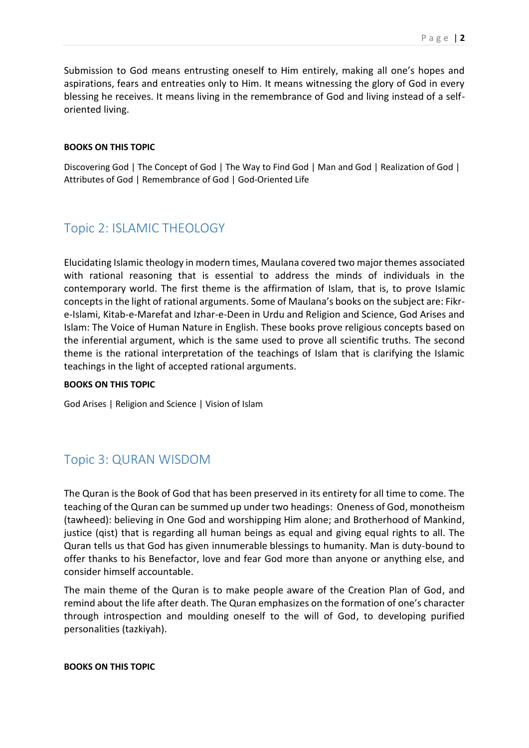Submission to God means entrusting oneself to Him entirely, making all one's hopes and aspirations, fears and entreaties only to Him. It means witnessing the glory of God in every blessing he receives. It means living in the remembrance of God and living instead of a selforiented living.

#### **BOOKS ON THIS TOPIC**

Discovering God | The Concept of God | The Way to Find God | Man and God | Realization of God | Attributes of God | Remembrance of God | God-Oriented Life

# <span id="page-2-0"></span>Topic 2: ISLAMIC THEOLOGY

Elucidating Islamic theology in modern times, Maulana covered two major themes associated with rational reasoning that is essential to address the minds of individuals in the contemporary world. The first theme is the affirmation of Islam, that is, to prove Islamic concepts in the light of rational arguments. Some of Maulana's books on the subject are: Fikre-Islami, Kitab-e-Marefat and Izhar-e-Deen in Urdu and Religion and Science, God Arises and Islam: The Voice of Human Nature in English. These books prove religious concepts based on the inferential argument, which is the same used to prove all scientific truths. The second theme is the rational interpretation of the teachings of Islam that is clarifying the Islamic teachings in the light of accepted rational arguments.

#### **BOOKS ON THIS TOPIC**

God Arises | Religion and Science | Vision of Islam

# <span id="page-2-1"></span>Topic 3: QURAN WISDOM

The Quran is the Book of God that has been preserved in its entirety for all time to come. The teaching of the Quran can be summed up under two headings: Oneness of God, monotheism (tawheed): believing in One God and worshipping Him alone; and Brotherhood of Mankind, justice (qist) that is regarding all human beings as equal and giving equal rights to all. The Quran tells us that God has given innumerable blessings to humanity. Man is duty-bound to offer thanks to his Benefactor, love and fear God more than anyone or anything else, and consider himself accountable.

The main theme of the Quran is to make people aware of the Creation Plan of God, and remind about the life after death. The Quran emphasizes on the formation of one's character through introspection and moulding oneself to the will of God, to developing purified personalities (tazkiyah).

#### **BOOKS ON THIS TOPIC**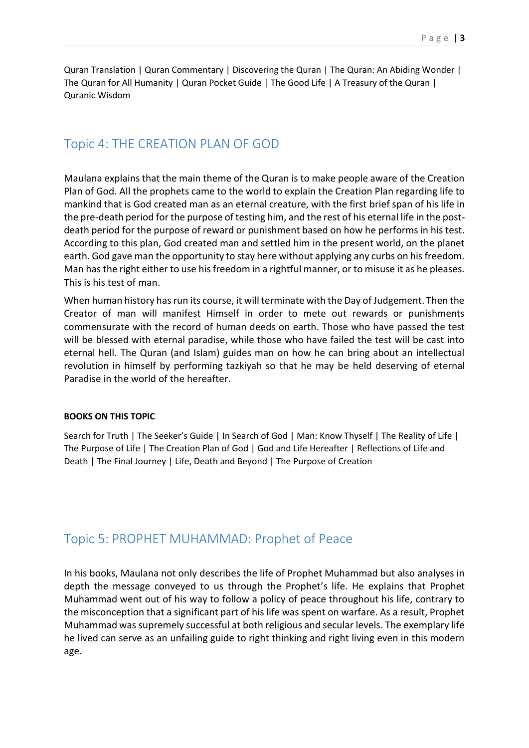Quran Translation | Quran Commentary | Discovering the Quran | The Quran: An Abiding Wonder | The Quran for All Humanity | Quran Pocket Guide | The Good Life | A Treasury of the Quran | Quranic Wisdom

# <span id="page-3-0"></span>Topic 4: THE CREATION PLAN OF GOD

Maulana explains that the main theme of the Quran is to make people aware of the Creation Plan of God. All the prophets came to the world to explain the Creation Plan regarding life to mankind that is God created man as an eternal creature, with the first brief span of his life in the pre-death period for the purpose of testing him, and the rest of his eternal life in the postdeath period for the purpose of reward or punishment based on how he performs in his test. According to this plan, God created man and settled him in the present world, on the planet earth. God gave man the opportunity to stay here without applying any curbs on his freedom. Man has the right either to use his freedom in a rightful manner, or to misuse it as he pleases. This is his test of man.

When human history has run its course, it will terminate with the Day of Judgement. Then the Creator of man will manifest Himself in order to mete out rewards or punishments commensurate with the record of human deeds on earth. Those who have passed the test will be blessed with eternal paradise, while those who have failed the test will be cast into eternal hell. The Quran (and Islam) guides man on how he can bring about an intellectual revolution in himself by performing tazkiyah so that he may be held deserving of eternal Paradise in the world of the hereafter.

#### **BOOKS ON THIS TOPIC**

Search for Truth | The Seeker's Guide | In Search of God | Man: Know Thyself | The Reality of Life | The Purpose of Life | The Creation Plan of God | God and Life Hereafter | Reflections of Life and Death | The Final Journey | Life, Death and Beyond | The Purpose of Creation

## <span id="page-3-1"></span>Topic 5: PROPHET MUHAMMAD: Prophet of Peace

In his books, Maulana not only describes the life of Prophet Muhammad but also analyses in depth the message conveyed to us through the Prophet's life. He explains that Prophet Muhammad went out of his way to follow a policy of peace throughout his life, contrary to the misconception that a significant part of his life was spent on warfare. As a result, Prophet Muhammad was supremely successful at both religious and secular levels. The exemplary life he lived can serve as an unfailing guide to right thinking and right living even in this modern age.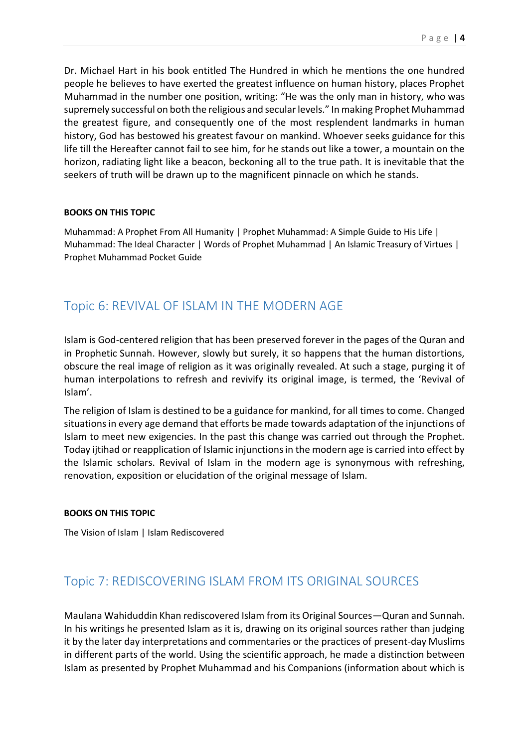Dr. Michael Hart in his book entitled The Hundred in which he mentions the one hundred people he believes to have exerted the greatest influence on human history, places Prophet Muhammad in the number one position, writing: "He was the only man in history, who was supremely successful on both the religious and secular levels." In making Prophet Muhammad the greatest figure, and consequently one of the most resplendent landmarks in human history, God has bestowed his greatest favour on mankind. Whoever seeks guidance for this life till the Hereafter cannot fail to see him, for he stands out like a tower, a mountain on the horizon, radiating light like a beacon, beckoning all to the true path. It is inevitable that the seekers of truth will be drawn up to the magnificent pinnacle on which he stands.

#### **BOOKS ON THIS TOPIC**

Muhammad: A Prophet From All Humanity | Prophet Muhammad: A Simple Guide to His Life | Muhammad: The Ideal Character | Words of Prophet Muhammad | An Islamic Treasury of Virtues | Prophet Muhammad Pocket Guide

# <span id="page-4-0"></span>Topic 6: REVIVAL OF ISLAM IN THE MODERN AGE

Islam is God-centered religion that has been preserved forever in the pages of the Quran and in Prophetic Sunnah. However, slowly but surely, it so happens that the human distortions, obscure the real image of religion as it was originally revealed. At such a stage, purging it of human interpolations to refresh and revivify its original image, is termed, the 'Revival of Islam'.

The religion of Islam is destined to be a guidance for mankind, for all times to come. Changed situations in every age demand that efforts be made towards adaptation of the injunctions of Islam to meet new exigencies. In the past this change was carried out through the Prophet. Today ijtihad or reapplication of Islamic injunctions in the modern age is carried into effect by the Islamic scholars. Revival of Islam in the modern age is synonymous with refreshing, renovation, exposition or elucidation of the original message of Islam.

#### **BOOKS ON THIS TOPIC**

The Vision of Islam | Islam Rediscovered

# <span id="page-4-1"></span>Topic 7: REDISCOVERING ISLAM FROM ITS ORIGINAL SOURCES

Maulana Wahiduddin Khan rediscovered Islam from its Original Sources—Quran and Sunnah. In his writings he presented Islam as it is, drawing on its original sources rather than judging it by the later day interpretations and commentaries or the practices of present-day Muslims in different parts of the world. Using the scientific approach, he made a distinction between Islam as presented by Prophet Muhammad and his Companions (information about which is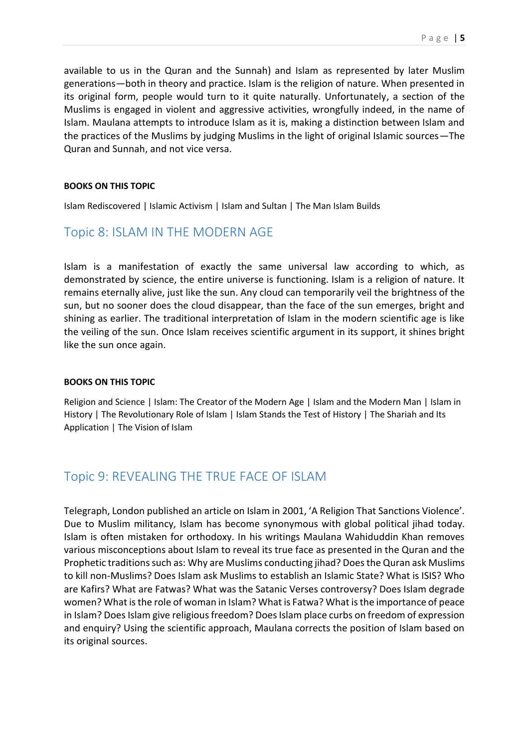available to us in the Quran and the Sunnah) and Islam as represented by later Muslim generations—both in theory and practice. Islam is the religion of nature. When presented in its original form, people would turn to it quite naturally. Unfortunately, a section of the Muslims is engaged in violent and aggressive activities, wrongfully indeed, in the name of Islam. Maulana attempts to introduce Islam as it is, making a distinction between Islam and the practices of the Muslims by judging Muslims in the light of original Islamic sources—The Quran and Sunnah, and not vice versa.

#### **BOOKS ON THIS TOPIC**

Islam Rediscovered | Islamic Activism | Islam and Sultan | The Man Islam Builds

## <span id="page-5-0"></span>Topic 8: ISLAM IN THE MODERN AGE

Islam is a manifestation of exactly the same universal law according to which, as demonstrated by science, the entire universe is functioning. Islam is a religion of nature. It remains eternally alive, just like the sun. Any cloud can temporarily veil the brightness of the sun, but no sooner does the cloud disappear, than the face of the sun emerges, bright and shining as earlier. The traditional interpretation of Islam in the modern scientific age is like the veiling of the sun. Once Islam receives scientific argument in its support, it shines bright like the sun once again.

#### **BOOKS ON THIS TOPIC**

Religion and Science | Islam: The Creator of the Modern Age | Islam and the Modern Man | Islam in History | The Revolutionary Role of Islam | Islam Stands the Test of History | The Shariah and Its Application | The Vision of Islam

# <span id="page-5-1"></span>Topic 9: REVEALING THE TRUE FACE OF ISLAM

Telegraph, London published an article on Islam in 2001, 'A Religion That Sanctions Violence'. Due to Muslim militancy, Islam has become synonymous with global political jihad today. Islam is often mistaken for orthodoxy. In his writings Maulana Wahiduddin Khan removes various misconceptions about Islam to reveal its true face as presented in the Quran and the Prophetic traditions such as: Why are Muslims conducting jihad? Does the Quran ask Muslims to kill non-Muslims? Does Islam ask Muslims to establish an Islamic State? What is ISIS? Who are Kafirs? What are Fatwas? What was the Satanic Verses controversy? Does Islam degrade women? What is the role of woman in Islam? What is Fatwa? What is the importance of peace in Islam? Does Islam give religious freedom? Does Islam place curbs on freedom of expression and enquiry? Using the scientific approach, Maulana corrects the position of Islam based on its original sources.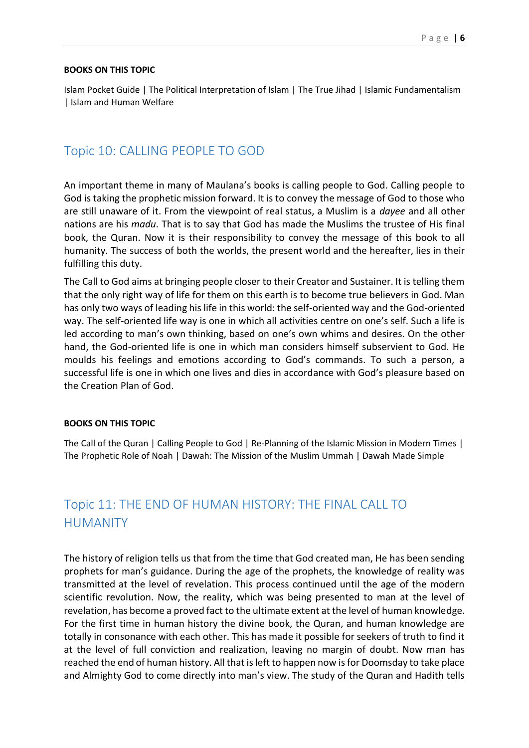#### **BOOKS ON THIS TOPIC**

Islam Pocket Guide | The Political Interpretation of Islam | The True Jihad | Islamic Fundamentalism | Islam and Human Welfare

# <span id="page-6-0"></span>Topic 10: CALLING PEOPLE TO GOD

An important theme in many of Maulana's books is calling people to God. Calling people to God is taking the prophetic mission forward. It is to convey the message of God to those who are still unaware of it. From the viewpoint of real status, a Muslim is a *dayee* and all other nations are his *madu*. That is to say that God has made the Muslims the trustee of His final book, the Quran. Now it is their responsibility to convey the message of this book to all humanity. The success of both the worlds, the present world and the hereafter, lies in their fulfilling this duty.

The Call to God aims at bringing people closer to their Creator and Sustainer. It is telling them that the only right way of life for them on this earth is to become true believers in God. Man has only two ways of leading his life in this world: the self-oriented way and the God-oriented way. The self-oriented life way is one in which all activities centre on one's self. Such a life is led according to man's own thinking, based on one's own whims and desires. On the other hand, the God-oriented life is one in which man considers himself subservient to God. He moulds his feelings and emotions according to God's commands. To such a person, a successful life is one in which one lives and dies in accordance with God's pleasure based on the Creation Plan of God.

#### **BOOKS ON THIS TOPIC**

The Call of the Quran | Calling People to God | Re-Planning of the Islamic Mission in Modern Times | The Prophetic Role of Noah | Dawah: The Mission of the Muslim Ummah | Dawah Made Simple

# <span id="page-6-1"></span>Topic 11: THE END OF HUMAN HISTORY: THE FINAL CALL TO HUMANITY

The history of religion tells us that from the time that God created man, He has been sending prophets for man's guidance. During the age of the prophets, the knowledge of reality was transmitted at the level of revelation. This process continued until the age of the modern scientific revolution. Now, the reality, which was being presented to man at the level of revelation, has become a proved fact to the ultimate extent at the level of human knowledge. For the first time in human history the divine book, the Quran, and human knowledge are totally in consonance with each other. This has made it possible for seekers of truth to find it at the level of full conviction and realization, leaving no margin of doubt. Now man has reached the end of human history. All that is left to happen now is for Doomsday to take place and Almighty God to come directly into man's view. The study of the Quran and Hadith tells